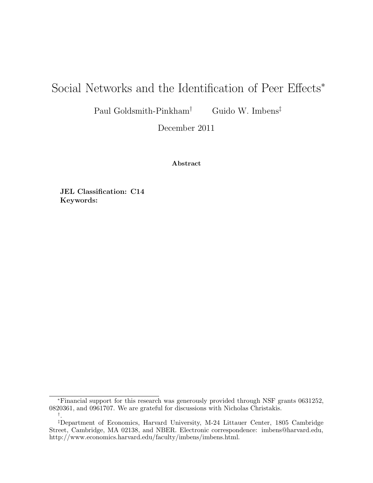# Social Networks and the Identification of Peer Effects<sup>∗</sup>

Paul Goldsmith-Pinkham† Guido W. Imbens‡

December 2011

Abstract

JEL Classification: C14 Keywords:

<sup>∗</sup>Financial support for this research was generously provided through NSF grants 0631252, 0820361, and 0961707. We are grateful for discussions with Nicholas Christakis. † .

<sup>‡</sup>Department of Economics, Harvard University, M-24 Littauer Center, 1805 Cambridge Street, Cambridge, MA 02138, and NBER. Electronic correspondence: imbens@harvard.edu, http://www.economics.harvard.edu/faculty/imbens/imbens.html.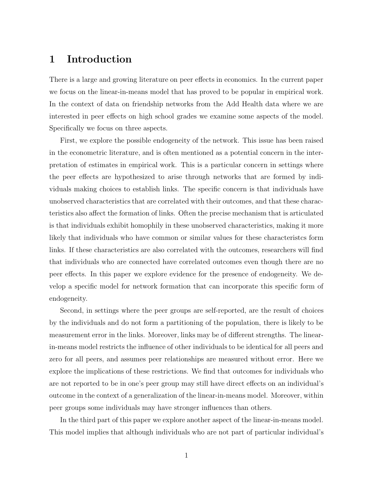# 1 Introduction

There is a large and growing literature on peer effects in economics. In the current paper we focus on the linear-in-means model that has proved to be popular in empirical work. In the context of data on friendship networks from the Add Health data where we are interested in peer effects on high school grades we examine some aspects of the model. Specifically we focus on three aspects.

First, we explore the possible endogeneity of the network. This issue has been raised in the econometric literature, and is often mentioned as a potential concern in the interpretation of estimates in empirical work. This is a particular concern in settings where the peer effects are hypothesized to arise through networks that are formed by individuals making choices to establish links. The specific concern is that individuals have unobserved characteristics that are correlated with their outcomes, and that these characteristics also affect the formation of links. Often the precise mechanism that is articulated is that individuals exhibit homophily in these unobserved characteristics, making it more likely that individuals who have common or similar values for these characteristcs form links. If these characteristics are also correlated with the outcomes, researchers will find that individuals who are connected have correlated outcomes even though there are no peer effects. In this paper we explore evidence for the presence of endogeneity. We develop a specific model for network formation that can incorporate this specific form of endogeneity.

Second, in settings where the peer groups are self-reported, are the result of choices by the individuals and do not form a partitioning of the population, there is likely to be measurement error in the links. Moreover, links may be of different strengths. The linearin-means model restricts the influence of other individuals to be identical for all peers and zero for all peers, and assumes peer relationships are measured without error. Here we explore the implications of these restrictions. We find that outcomes for individuals who are not reported to be in one's peer group may still have direct effects on an individual's outcome in the context of a generalization of the linear-in-means model. Moreover, within peer groups some individuals may have stronger influences than others.

In the third part of this paper we explore another aspect of the linear-in-means model. This model implies that although individuals who are not part of particular individual's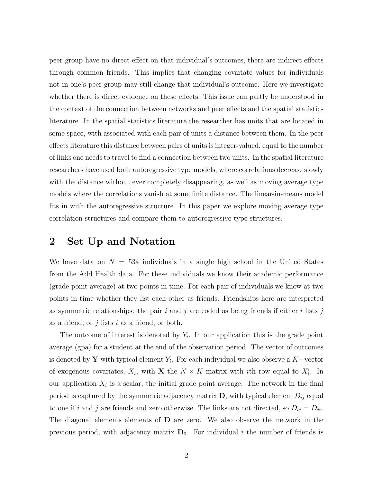peer group have no direct effect on that individual's outcomes, there are indirect effects through common friends. This implies that changing covariate values for individuals not in one's peer group may still change that individual's outcome. Here we investigate whether there is direct evidence on these effects. This issue can partly be understood in the context of the connection between networks and peer effects and the spatial statistics literature. In the spatial statistics literature the researcher has units that are located in some space, with associated with each pair of units a distance between them. In the peer effects literature this distance between pairs of units is integer-valued, equal to the number of links one needs to travel to find a connection between two units. In the spatial literature researchers have used both autoregressive type models, where correlations decrease slowly with the distance without ever completely disappearing, as well as moving average type models where the correlations vanish at some finite distance. The linear-in-means model fits in with the autoregressive structure. In this paper we explore moving average type correlation structures and compare them to autoregressive type structures.

# 2 Set Up and Notation

We have data on  $N = 534$  individuals in a single high school in the United States from the Add Health data. For these individuals we know their academic performance (grade point average) at two points in time. For each pair of individuals we know at two points in time whether they list each other as friends. Friendships here are interpreted as symmetric relationships: the pair i and j are coded as being friends if either i lists j as a friend, or  $j$  lists  $i$  as a friend, or both.

The outcome of interest is denoted by  $Y_i$ . In our application this is the grade point average (gpa) for a student at the end of the observation period. The vector of outcomes is denoted by Y with typical element  $Y_i$ . For each individual we also observe a K−vector of exogenous covariates,  $X_i$ , with **X** the  $N \times K$  matrix with *i*th row equal to  $X'_i$ . In our application  $X_i$  is a scalar, the initial grade point average. The network in the final period is captured by the symmetric adjacency matrix  $\mathbf{D}$ , with typical element  $D_{ij}$  equal to one if i and j are friends and zero otherwise. The links are not directed, so  $D_{ij} = D_{ji}$ . The diagonal elements elements of D are zero. We also observe the network in the previous period, with adjacency matrix  $D_0$ . For individual i the number of friends is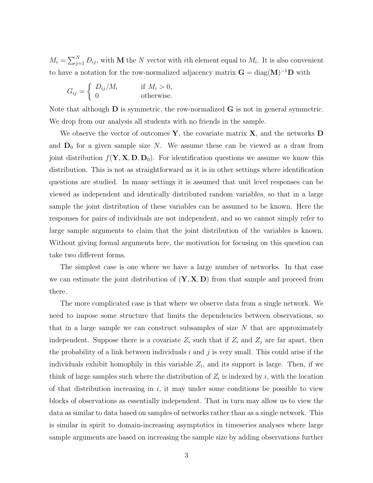$M_i = \sum_{j=1}^{N} D_{ij}$ , with **M** the N vector with *i*th element equal to  $M_i$ . It is also convenient to have a notation for the row-normalized adjacency matrix  $G = diag(M)^{-1}D$  with

$$
G_{ij} = \begin{cases} D_{ij}/M_i & \text{if } M_i > 0, \\ 0 & \text{otherwise.} \end{cases}
$$

Note that although  **is symmetric, the row-normalized**  $**G**$  **is not in general symmetric.** We drop from our analysis all students with no friends in the sample.

We observe the vector of outcomes  $\mathbf{Y}$ , the covariate matrix  $\mathbf{X}$ , and the networks  $\mathbf{D}$ and  $D_0$  for a given sample size N. We assume these can be viewed as a draw from joint distribution  $f(\mathbf{Y}, \mathbf{X}, \mathbf{D}, \mathbf{D}_0)$ . For identification questions we assume we know this distribution. This is not as straightforward as it is in other settings where identification questions are studied. In many settings it is assumed that unit level responses can be viewed as independent and identically distributed random variables, so that in a large sample the joint distribution of these variables can be assumed to be known. Here the responses for pairs of individuals are not independent, and so we cannot simply refer to large sample arguments to claim that the joint distribution of the variables is known. Without giving formal arguments here, the motivation for focusing on this question can take two different forms.

The simplest case is one where we have a large number of networks. In that case we can estimate the joint distribution of  $(Y, X, D)$  from that sample and proceed from there.

The more complicated case is that where we observe data from a single network. We need to impose some structure that limits the dependencies between observations, so that in a large sample we can construct subsamples of size  $N$  that are approximately independent. Suppose there is a covariate  $Z_i$  such that if  $Z_i$  and  $Z_j$  are far apart, then the probability of a link between individuals  $i$  and  $j$  is very small. This could arise if the individuals exhibit homophily in this variable  $Z_i$ , and its support is large. Then, if we think of large samples such where the distribution of  $Z_i$  is indexed by i, with the location of that distribution increasing in  $i$ , it may under some conditions be possible to view blocks of observations as essentially independent. That in turn may allow us to view the data as similar to data based on samples of networks rather than as a single network. This is similar in spirit to domain-increasing asymptotics in timeseries analyses where large sample arguments are based on increasing the sample size by adding observations further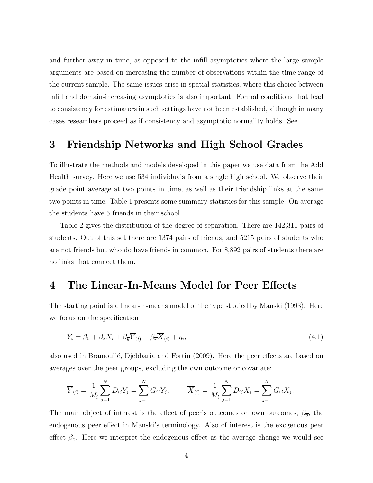and further away in time, as opposed to the infill asymptotics where the large sample arguments are based on increasing the number of observations within the time range of the current sample. The same issues arise in spatial statistics, where this choice between infill and domain-increasing asymptotics is also important. Formal conditions that lead to consistency for estimators in such settings have not been established, although in many cases researchers proceed as if consistency and asymptotic normality holds. See

### 3 Friendship Networks and High School Grades

To illustrate the methods and models developed in this paper we use data from the Add Health survey. Here we use 534 individuals from a single high school. We observe their grade point average at two points in time, as well as their friendship links at the same two points in time. Table 1 presents some summary statistics for this sample. On average the students have 5 friends in their school.

Table 2 gives the distribution of the degree of separation. There are 142,311 pairs of students. Out of this set there are 1374 pairs of friends, and 5215 pairs of students who are not friends but who do have friends in common. For 8,892 pairs of students there are no links that connect them.

#### 4 The Linear-In-Means Model for Peer Effects

The starting point is a linear-in-means model of the type studied by Manski (1993). Here we focus on the specification

$$
Y_i = \beta_0 + \beta_x X_i + \beta_{\overline{y}} \overline{Y}_{(i)} + \beta_{\overline{x}} \overline{X}_{(i)} + \eta_i,
$$
\n(4.1)

also used in Bramoullé, Djebbaria and Fortin (2009). Here the peer effects are based on averages over the peer groups, excluding the own outcome or covariate:

$$
\overline{Y}_{(i)} = \frac{1}{M_i} \sum_{j=1}^{N} D_{ij} Y_j = \sum_{j=1}^{N} G_{ij} Y_j, \qquad \overline{X}_{(i)} = \frac{1}{M_i} \sum_{j=1}^{N} D_{ij} X_j = \sum_{j=1}^{N} G_{ij} X_j.
$$

The main object of interest is the effect of peer's outcomes on own outcomes,  $\beta_{\overline{y}}$ , the endogenous peer effect in Manski's terminology. Also of interest is the exogenous peer effect  $\beta_{\overline{x}}$ . Here we interpret the endogenous effect as the average change we would see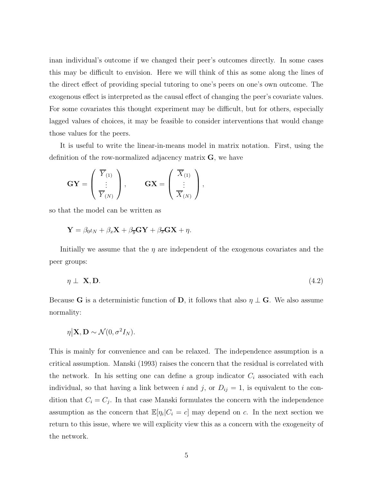inan individual's outcome if we changed their peer's outcomes directly. In some cases this may be difficult to envision. Here we will think of this as some along the lines of the direct effect of providing special tutoring to one's peers on one's own outcome. The exogenous effect is interpreted as the causal effect of changing the peer's covariate values. For some covariates this thought experiment may be difficult, but for others, especially lagged values of choices, it may be feasible to consider interventions that would change those values for the peers.

It is useful to write the linear-in-means model in matrix notation. First, using the definition of the row-normalized adjacency matrix **, we have** 

$$
\mathbf{GY} = \left(\begin{array}{c} \overline{Y}_{(1)} \\ \vdots \\ \overline{Y}_{(N)} \end{array}\right), \qquad \mathbf{GX} = \left(\begin{array}{c} \overline{X}_{(1)} \\ \vdots \\ \overline{X}_{(N)} \end{array}\right),
$$

so that the model can be written as

$$
\mathbf{Y} = \beta_0 \iota_N + \beta_x \mathbf{X} + \beta_{\overline{y}} \mathbf{G} \mathbf{Y} + \beta_{\overline{x}} \mathbf{G} \mathbf{X} + \eta.
$$

Initially we assume that the  $\eta$  are independent of the exogenous covariates and the peer groups:

$$
\eta \perp \mathbf{X}, \mathbf{D}.\tag{4.2}
$$

Because G is a deterministic function of D, it follows that also  $\eta \perp G$ . We also assume normality:

$$
\eta | \mathbf{X}, \mathbf{D} \sim \mathcal{N}(0, \sigma^2 I_N).
$$

This is mainly for convenience and can be relaxed. The independence assumption is a critical assumption. Manski (1993) raises the concern that the residual is correlated with the network. In his setting one can define a group indicator  $C_i$  associated with each individual, so that having a link between i and j, or  $D_{ij} = 1$ , is equivalent to the condition that  $C_i = C_j$ . In that case Manski formulates the concern with the independence assumption as the concern that  $\mathbb{E}[\eta_i|C_i = c]$  may depend on c. In the next section we return to this issue, where we will explicity view this as a concern with the exogeneity of the network.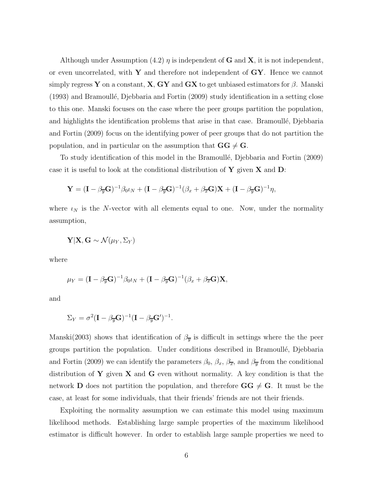Although under Assumption (4.2)  $\eta$  is independent of **G** and **X**, it is not independent, or even uncorrelated, with  $Y$  and therefore not independent of  $GY$ . Hence we cannot simply regress Y on a constant, X, GY and GX to get unbiased estimators for  $\beta$ . Manski  $(1993)$  and Bramoullé, Djebbaria and Fortin  $(2009)$  study identification in a setting close to this one. Manski focuses on the case where the peer groups partition the population, and highlights the identification problems that arise in that case. Bramoullé, Djebbaria and Fortin (2009) focus on the identifying power of peer groups that do not partition the population, and in particular on the assumption that  $GG \neq G$ .

To study identification of this model in the Bramoullé, Djebbaria and Fortin (2009) case it is useful to look at the conditional distribution of  $\bf{Y}$  given  $\bf{X}$  and  $\bf{D}$ :

$$
\mathbf{Y} = (\mathbf{I} - \beta_{\overline{y}} \mathbf{G})^{-1} \beta_0 \iota_N + (\mathbf{I} - \beta_{\overline{y}} \mathbf{G})^{-1} (\beta_x + \beta_{\overline{x}} \mathbf{G}) \mathbf{X} + (\mathbf{I} - \beta_{\overline{y}} \mathbf{G})^{-1} \eta,
$$

where  $\iota_N$  is the N-vector with all elements equal to one. Now, under the normality assumption,

$$
\mathbf{Y}|\mathbf{X},\mathbf{G} \sim \mathcal{N}(\mu_Y,\Sigma_Y)
$$

where

$$
\mu_Y = (\mathbf{I} - \beta_{\overline{y}} \mathbf{G})^{-1} \beta_0 \iota_N + (\mathbf{I} - \beta_{\overline{y}} \mathbf{G})^{-1} (\beta_x + \beta_{\overline{x}} \mathbf{G}) \mathbf{X},
$$

and

$$
\Sigma_Y = \sigma^2 (\mathbf{I} - \beta_{\overline{y}} \mathbf{G})^{-1} (\mathbf{I} - \beta_{\overline{y}} \mathbf{G}')^{-1}.
$$

Manski(2003) shows that identification of  $\beta_{\overline{y}}$  is difficult in settings where the the peer groups partition the population. Under conditions described in Bramoull´e, Djebbaria and Fortin (2009) we can identify the parameters  $\beta_0$ ,  $\beta_x$ ,  $\beta_{\overline{x}}$ , and  $\beta_{\overline{y}}$  from the conditional distribution of Y given X and G even without normality. A key condition is that the network **D** does not partition the population, and therefore  $GG \neq G$ . It must be the case, at least for some individuals, that their friends' friends are not their friends.

Exploiting the normality assumption we can estimate this model using maximum likelihood methods. Establishing large sample properties of the maximum likelihood estimator is difficult however. In order to establish large sample properties we need to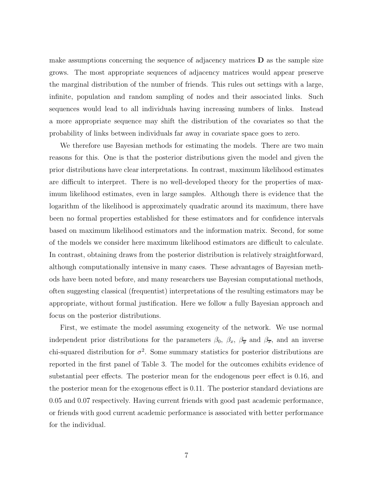make assumptions concerning the sequence of adjacency matrices  **as the sample size** grows. The most appropriate sequences of adjacency matrices would appear preserve the marginal distribution of the number of friends. This rules out settings with a large, infinite, population and random sampling of nodes and their associated links. Such sequences would lead to all individuals having increasing numbers of links. Instead a more appropriate sequence may shift the distribution of the covariates so that the probability of links between individuals far away in covariate space goes to zero.

We therefore use Bayesian methods for estimating the models. There are two main reasons for this. One is that the posterior distributions given the model and given the prior distributions have clear interpretations. In contrast, maximum likelihood estimates are difficult to interpret. There is no well-developed theory for the properties of maximum likelihood estimates, even in large samples. Although there is evidence that the logarithm of the likelihood is approximately quadratic around its maximum, there have been no formal properties established for these estimators and for confidence intervals based on maximum likelihood estimators and the information matrix. Second, for some of the models we consider here maximum likelihood estimators are difficult to calculate. In contrast, obtaining draws from the posterior distribution is relatively straightforward, although computationally intensive in many cases. These advantages of Bayesian methods have been noted before, and many researchers use Bayesian computational methods, often suggesting classical (frequentist) interpretations of the resulting estimators may be appropriate, without formal justification. Here we follow a fully Bayesian approach and focus on the posterior distributions.

First, we estimate the model assuming exogeneity of the network. We use normal independent prior distributions for the parameters  $\beta_0$ ,  $\beta_x$ ,  $\beta_y$  and  $\beta_x$ , and an inverse chi-squared distribution for  $\sigma^2$ . Some summary statistics for posterior distributions are reported in the first panel of Table 3. The model for the outcomes exhibits evidence of substantial peer effects. The posterior mean for the endogenous peer effect is 0.16, and the posterior mean for the exogenous effect is 0.11. The posterior standard deviations are 0.05 and 0.07 respectively. Having current friends with good past academic performance, or friends with good current academic performance is associated with better performance for the individual.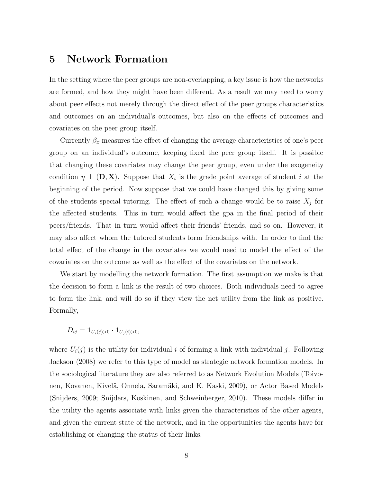# 5 Network Formation

In the setting where the peer groups are non-overlapping, a key issue is how the networks are formed, and how they might have been different. As a result we may need to worry about peer effects not merely through the direct effect of the peer groups characteristics and outcomes on an individual's outcomes, but also on the effects of outcomes and covariates on the peer group itself.

Currently  $\beta_{\overline{x}}$  measures the effect of changing the average characteristics of one's peer group on an individual's outcome, keeping fixed the peer group itself. It is possible that changing these covariates may change the peer group, even under the exogeneity condition  $\eta \perp (\mathbf{D}, \mathbf{X})$ . Suppose that  $X_i$  is the grade point average of student i at the beginning of the period. Now suppose that we could have changed this by giving some of the students special tutoring. The effect of such a change would be to raise  $X_i$  for the affected students. This in turn would affect the gpa in the final period of their peers/friends. That in turn would affect their friends' friends, and so on. However, it may also affect whom the tutored students form friendships with. In order to find the total effect of the change in the covariates we would need to model the effect of the covariates on the outcome as well as the effect of the covariates on the network.

We start by modelling the network formation. The first assumption we make is that the decision to form a link is the result of two choices. Both individuals need to agree to form the link, and will do so if they view the net utility from the link as positive. Formally,

 $D_{ij} = \mathbf{1}_{U_i(j) > 0} \cdot \mathbf{1}_{U_i(i) > 0},$ 

where  $U_i(j)$  is the utility for individual i of forming a link with individual j. Following Jackson (2008) we refer to this type of model as strategic network formation models. In the sociological literature they are also referred to as Network Evolution Models (Toivonen, Kovanen, Kivelä, Onnela, Saramäki, and K. Kaski, 2009), or Actor Based Models (Snijders, 2009; Snijders, Koskinen, and Schweinberger, 2010). These models differ in the utility the agents associate with links given the characteristics of the other agents, and given the current state of the network, and in the opportunities the agents have for establishing or changing the status of their links.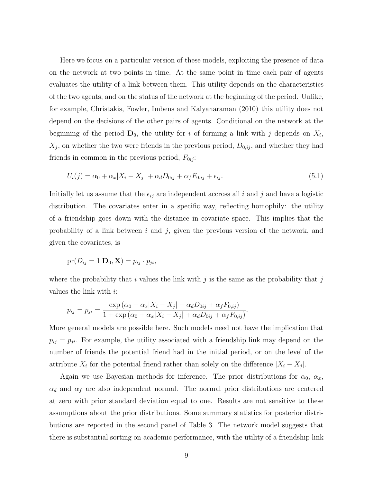Here we focus on a particular version of these models, exploiting the presence of data on the network at two points in time. At the same point in time each pair of agents evaluates the utility of a link between them. This utility depends on the characteristics of the two agents, and on the status of the network at the beginning of the period. Unlike, for example, Christakis, Fowler, Imbens and Kalyanaraman (2010) this utility does not depend on the decisions of the other pairs of agents. Conditional on the network at the beginning of the period  $\mathbf{D}_0$ , the utility for i of forming a link with j depends on  $X_i$ ,  $X_j$ , on whether the two were friends in the previous period,  $D_{0,ij}$ , and whether they had friends in common in the previous period,  $F_{0ij}$ :

$$
U_i(j) = \alpha_0 + \alpha_x |X_i - X_j| + \alpha_d D_{0ij} + \alpha_f F_{0,ij} + \epsilon_{ij}.
$$
\n
$$
(5.1)
$$

Initially let us assume that the  $\epsilon_{ij}$  are independent accross all i and j and have a logistic distribution. The covariates enter in a specific way, reflecting homophily: the utility of a friendship goes down with the distance in covariate space. This implies that the probability of a link between  $i$  and  $j$ , given the previous version of the network, and given the covariates, is

$$
pr(D_{ij}=1|\mathbf{D}_0,\mathbf{X})=p_{ij}\cdot p_{ji},
$$

where the probability that i values the link with j is the same as the probability that j values the link with  $i$ :

$$
p_{ij} = p_{ji} = \frac{\exp{(\alpha_0 + \alpha_x |X_i - X_j| + \alpha_d D_{0ij} + \alpha_f F_{0,ij})}}{1 + \exp{(\alpha_0 + \alpha_x |X_i - X_j| + \alpha_d D_{0ij} + \alpha_f F_{0,ij})}}.
$$

More general models are possible here. Such models need not have the implication that  $p_{ij} = p_{ji}$ . For example, the utility associated with a friendship link may depend on the number of friends the potential friend had in the initial period, or on the level of the attribute  $X_i$  for the potential friend rather than solely on the difference  $|X_i - X_j|$ .

Again we use Bayesian methods for inference. The prior distributions for  $\alpha_0$ ,  $\alpha_x$ ,  $\alpha_d$  and  $\alpha_f$  are also independent normal. The normal prior distributions are centered at zero with prior standard deviation equal to one. Results are not sensitive to these assumptions about the prior distributions. Some summary statistics for posterior distributions are reported in the second panel of Table 3. The network model suggests that there is substantial sorting on academic performance, with the utility of a friendship link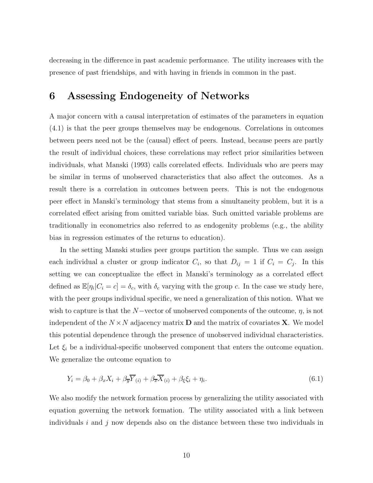decreasing in the difference in past academic performance. The utility increases with the presence of past friendships, and with having in friends in common in the past.

# 6 Assessing Endogeneity of Networks

A major concern with a causal interpretation of estimates of the parameters in equation (4.1) is that the peer groups themselves may be endogenous. Correlations in outcomes between peers need not be the (causal) effect of peers. Instead, because peers are partly the result of individual choices, these correlations may reflect prior similarities between individuals, what Manski (1993) calls correlated effects. Individuals who are peers may be similar in terms of unobserved characteristics that also affect the outcomes. As a result there is a correlation in outcomes between peers. This is not the endogenous peer effect in Manski's terminology that stems from a simultaneity problem, but it is a correlated effect arising from omitted variable bias. Such omitted variable problems are traditionally in econometrics also referred to as endogenity problems (e.g., the ability bias in regression estimates of the returns to education).

In the setting Manski studies peer groups partition the sample. Thus we can assign each individual a cluster or group indicator  $C_i$ , so that  $D_{ij} = 1$  if  $C_i = C_j$ . In this setting we can conceptualize the effect in Manski's terminology as a correlated effect defined as  $\mathbb{E}[\eta_i|C_i = c] = \delta_c$ , with  $\delta_c$  varying with the group c. In the case we study here, with the peer groups individual specific, we need a generalization of this notion. What we wish to capture is that the  $N$ −vector of unobserved components of the outcome,  $\eta$ , is not independent of the  $N \times N$  adjacency matrix **D** and the matrix of covariates **X**. We model this potential dependence through the presence of unobserved individual characteristics. Let  $\xi_i$  be a individual-specific unobserved component that enters the outcome equation. We generalize the outcome equation to

$$
Y_i = \beta_0 + \beta_x X_i + \beta_{\overline{y}} \overline{Y}_{(i)} + \beta_{\overline{x}} \overline{X}_{(i)} + \beta_{\xi} \xi_i + \eta_i.
$$
 (6.1)

We also modify the network formation process by generalizing the utility associated with equation governing the network formation. The utility associated with a link between individuals i and j now depends also on the distance between these two individuals in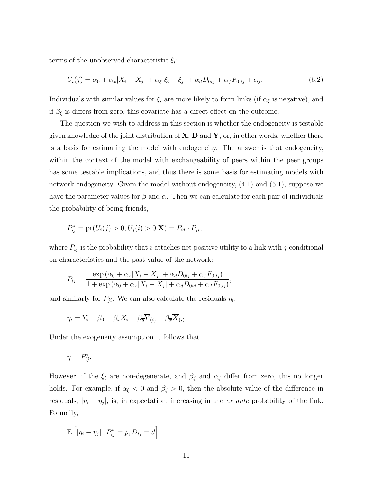terms of the unobserved characteristic  $\xi_i$ :

$$
U_i(j) = \alpha_0 + \alpha_x |X_i - X_j| + \alpha_{\xi} |\xi_i - \xi_j| + \alpha_d D_{0ij} + \alpha_f F_{0,ij} + \epsilon_{ij}.
$$
\n
$$
(6.2)
$$

Individuals with similar values for  $\xi_i$  are more likely to form links (if  $\alpha_{\xi}$  is negative), and if  $\beta_{\xi}$  is differs from zero, this covariate has a direct effect on the outcome.

The question we wish to address in this section is whether the endogeneity is testable given knowledge of the joint distribution of  $X, D$  and  $Y, \text{or}$ , in other words, whether there is a basis for estimating the model with endogeneity. The answer is that endogeneity, within the context of the model with exchangeability of peers within the peer groups has some testable implications, and thus there is some basis for estimating models with network endogeneity. Given the model without endogeneity, (4.1) and (5.1), suppose we have the parameter values for  $\beta$  and  $\alpha$ . Then we can calculate for each pair of individuals the probability of being friends,

$$
P_{ij}^* = \text{pr}(U_i(j) > 0, U_j(i) > 0 | \mathbf{X}) = P_{ij} \cdot P_{ji},
$$

where  $P_{ij}$  is the probability that i attaches net positive utility to a link with j conditional on characteristics and the past value of the network:

$$
P_{ij} = \frac{\exp(\alpha_0 + \alpha_x |X_i - X_j| + \alpha_d D_{0ij} + \alpha_f F_{0,ij})}{1 + \exp(\alpha_0 + \alpha_x |X_i - X_j| + \alpha_d D_{0ij} + \alpha_f F_{0,ij})},
$$

and similarly for  $P_{ji}$ . We can also calculate the residuals  $\eta_i$ :

$$
\eta_i = Y_i - \beta_0 - \beta_x X_i - \beta_{\overline{y}} \overline{Y}_{(i)} - \beta_{\overline{x}} \overline{X}_{(i)}.
$$

Under the exogeneity assumption it follows that

$$
\eta \perp P^*_{ij}.
$$

However, if the  $\xi_i$  are non-degenerate, and  $\beta_{\xi}$  and  $\alpha_{\xi}$  differ from zero, this no longer holds. For example, if  $\alpha_{\xi} < 0$  and  $\beta_{\xi} > 0$ , then the absolute value of the difference in residuals,  $|\eta_i - \eta_j|$ , is, in expectation, increasing in the ex ante probability of the link. Formally,

$$
\mathbb{E}\left[|\eta_i - \eta_j| \middle| P_{ij}^* = p, D_{ij} = d\right]
$$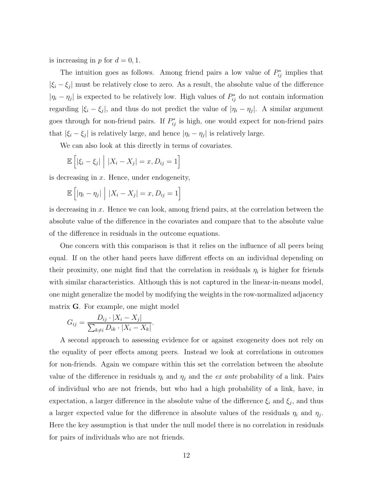is increasing in p for  $d = 0, 1$ .

The intuition goes as follows. Among friend pairs a low value of  $P_{ij}^*$  implies that  $|\xi_i - \xi_j|$  must be relatively close to zero. As a result, the absolute value of the difference  $|\eta_i - \eta_j|$  is expected to be relatively low. High values of  $P_{ij}^*$  do not contain information regarding  $|\xi_i - \xi_j|$ , and thus do not predict the value of  $|\eta_i - \eta_j|$ . A similar argument goes through for non-friend pairs. If  $P_{ij}^*$  is high, one would expect for non-friend pairs that  $|\xi_i - \xi_j|$  is relatively large, and hence  $|\eta_i - \eta_j|$  is relatively large.

We can also look at this directly in terms of covariates.

$$
\mathbb{E}\left[|\xi_i - \xi_j| \middle| |X_i - X_j| = x, D_{ij} = 1\right]
$$

is decreasing in  $x$ . Hence, under endogeneity,

$$
\mathbb{E}\left[|\eta_i - \eta_j| \mid |X_i - X_j| = x, D_{ij} = 1\right]
$$

is decreasing in x. Hence we can look, among friend pairs, at the correlation between the absolute value of the difference in the covariates and compare that to the absolute value of the difference in residuals in the outcome equations.

One concern with this comparison is that it relies on the influence of all peers being equal. If on the other hand peers have different effects on an individual depending on their proximity, one might find that the correlation in residuals  $\eta_i$  is higher for friends with similar characteristics. Although this is not captured in the linear-in-means model, one might generalize the model by modifying the weights in the row-normalized adjacency matrix G. For example, one might model

$$
G_{ij} = \frac{D_{ij} \cdot |X_i - X_j|}{\sum_{k \neq i} D_{ik} \cdot |X_i - X_k|}.
$$

A second approach to assessing evidence for or against exogeneity does not rely on the equality of peer effects among peers. Instead we look at correlations in outcomes for non-friends. Again we compare within this set the correlation between the absolute value of the difference in residuals  $\eta_i$  and  $\eta_j$  and the *ex ante* probability of a link. Pairs of individual who are not friends, but who had a high probability of a link, have, in expectation, a larger difference in the absolute value of the difference  $\xi_i$  and  $\xi_j$ , and thus a larger expected value for the difference in absolute values of the residuals  $\eta_i$  and  $\eta_j$ . Here the key assumption is that under the null model there is no correlation in residuals for pairs of individuals who are not friends.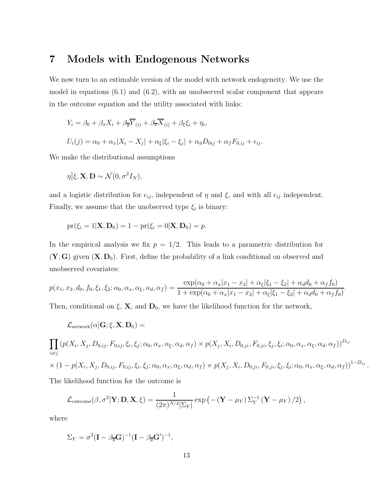# 7 Models with Endogenous Networks

We now turn to an estimable version of the model with network endogeneity. We use the model in equations (6.1) and (6.2), with an unobserved scalar component that appears in the outcome equation and the utility associated with links:

$$
Y_i = \beta_0 + \beta_x X_i + \beta_{\overline{y}} \overline{Y}_{(i)} + \beta_{\overline{x}} \overline{X}_{(i)} + \beta_{\xi} \xi_i + \eta_i,
$$
  

$$
U_i(j) = \alpha_0 + \alpha_x |X_i - X_j| + \alpha_{\xi} |\xi_i - \xi_j| + \alpha_d D_{0ij} + \alpha_f F_{0,ij} + \epsilon_{ij}.
$$

We make the distributional assumptions

$$
\eta \big|\xi, \mathbf{X}, \mathbf{D} \sim \mathcal{N}(0, \sigma^2 I_N),
$$

and a logistic distribution for  $\epsilon_{ij}$ , independent of  $\eta$  and  $\xi$ , and with all  $\epsilon_{ij}$  independent. Finally, we assume that the unobserved type  $\xi_i$  is binary:

$$
pr(\xi_i = 1 | \mathbf{X}, \mathbf{D}_0) = 1 - pr(\xi_i = 0 | \mathbf{X}, \mathbf{D}_0) = p.
$$

In the empirical analysis we fix  $p = 1/2$ . This leads to a parametric distribution for  $(Y, G)$  given  $(X, D_0)$ . First, define the probability of a link conditional on observed and unobserved covariates:

$$
p(x_1, x_2, d_0, f_0, \xi_1, \xi_2; \alpha_0, \alpha_x, \alpha_\xi, \alpha_d, \alpha_f) = \frac{\exp(\alpha_0 + \alpha_x |x_1 - x_2| + \alpha_\xi |\xi_1 - \xi_2| + \alpha_d d_0 + \alpha_f f_0)}{1 + \exp(\alpha_0 + \alpha_x |x_1 - x_2| + \alpha_\xi |\xi_1 - \xi_2| + \alpha_d d_0 + \alpha_f f_0)}.
$$

Then, conditional on  $\xi$ , **X**, and  $\mathbf{D}_0$ , we have the likelihood function for the network,

$$
\mathcal{L}_{\text{network}}(\alpha|\mathbf{G};\xi,\mathbf{X},\mathbf{D}_0) =
$$

$$
\prod_{i \neq j} (p(X_i, X_j, D_{0,ij}, F_{0,ij}, \xi_i, \xi_j; \alpha_0, \alpha_x, \alpha_\xi, \alpha_d, \alpha_f) \times p(X_j, X_i, D_{0,ji}, F_{0,ji}, \xi_j, \xi_i; \alpha_0, \alpha_x, \alpha_\xi, \alpha_d, \alpha_f))^{D_{ij}}
$$
  
 
$$
\times (1 - p(X_i, X_j, D_{0,ij}, F_{0,ij}, \xi_i, \xi_j; \alpha_0, \alpha_x, \alpha_\xi, \alpha_d, \alpha_f) \times p(X_j, X_i, D_{0,ji}, F_{0,ji}, \xi_j, \xi_i; \alpha_0, \alpha_x, \alpha_\xi, \alpha_d, \alpha_f))^{1 - D_{ij}}
$$
  
The likelihood function for the outcome is

.

$$
\mathcal{L}_{\text{outcome}}(\beta, \sigma^2 | \mathbf{Y}; \mathbf{D}, \mathbf{X}, \xi) = \frac{1}{(2\pi)^{N/2} |\Sigma_Y|} \exp\left(-\left(\mathbf{Y} - \mu_Y\right) \Sigma_Y^{-1} \left(\mathbf{Y} - \mu_Y\right)/2\right),
$$

where

$$
\Sigma_Y = \sigma^2 (\mathbf{I} - \beta_{\overline{y}} \mathbf{G})^{-1} (\mathbf{I} - \beta_{\overline{y}} \mathbf{G}')^{-1},
$$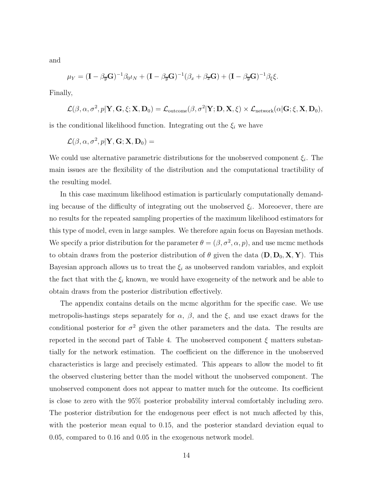and

$$
\mu_Y = (\mathbf{I} - \beta_{\overline{y}} \mathbf{G})^{-1} \beta_0 \iota_N + (\mathbf{I} - \beta_{\overline{y}} \mathbf{G})^{-1} (\beta_x + \beta_{\overline{x}} \mathbf{G}) + (\mathbf{I} - \beta_{\overline{y}} \mathbf{G})^{-1} \beta_{\xi} \xi.
$$

Finally,

$$
\mathcal{L}(\beta,\alpha,\sigma^2,p|\mathbf{Y},\mathbf{G},\xi;\mathbf{X},\mathbf{D}_0) = \mathcal{L}_{\text{outcome}}(\beta,\sigma^2|\mathbf{Y};\mathbf{D},\mathbf{X},\xi) \times \mathcal{L}_{\text{network}}(\alpha|\mathbf{G};\xi,\mathbf{X},\mathbf{D}_0),
$$

is the conditional likelihood function. Integrating out the  $\xi_i$  we have

$$
\mathcal{L}(\beta,\alpha,\sigma^2,p|\mathbf{Y},\mathbf{G};\mathbf{X},\mathbf{D}_0) =
$$

We could use alternative parametric distributions for the unobserved component  $\xi_i$ . The main issues are the flexibility of the distribution and the computational tractibility of the resulting model.

In this case maximum likelihood estimation is particularly computationally demanding because of the difficulty of integrating out the unobserved  $\xi_i$ . Moreoever, there are no results for the repeated sampling properties of the maximum likelihood estimators for this type of model, even in large samples. We therefore again focus on Bayesian methods. We specify a prior distribution for the parameter  $\theta = (\beta, \sigma^2, \alpha, p)$ , and use mcmc methods to obtain draws from the posterior distribution of  $\theta$  given the data  $(D, D_0, X, Y)$ . This Bayesian approach allows us to treat the  $\xi_i$  as unobserved random variables, and exploit the fact that with the  $\xi_i$  known, we would have exogeneity of the network and be able to obtain draws from the posterior distribution effectively.

The appendix contains details on the mcmc algorithm for the specific case. We use metropolis-hastings steps separately for  $\alpha$ ,  $\beta$ , and the  $\xi$ , and use exact draws for the conditional posterior for  $\sigma^2$  given the other parameters and the data. The results are reported in the second part of Table 4. The unobserved component  $\xi$  matters substantially for the network estimation. The coefficient on the difference in the unobserved characteristics is large and precisely estimated. This appears to allow the model to fit the observed clustering better than the model without the unobserved component. The unobserved component does not appear to matter much for the outcome. Its coefficient is close to zero with the 95% posterior probability interval comfortably including zero. The posterior distribution for the endogenous peer effect is not much affected by this, with the posterior mean equal to 0.15, and the posterior standard deviation equal to 0.05, compared to 0.16 and 0.05 in the exogenous network model.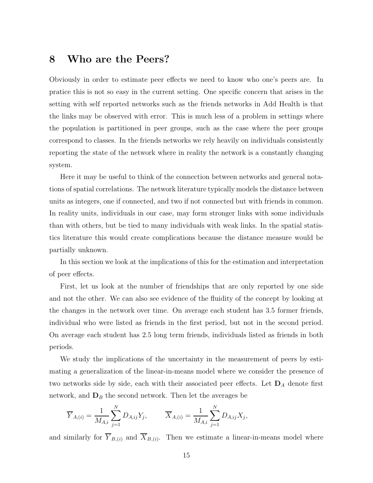# 8 Who are the Peers?

Obviously in order to estimate peer effects we need to know who one's peers are. In pratice this is not so easy in the current setting. One specific concern that arises in the setting with self reported networks such as the friends networks in Add Health is that the links may be observed with error. This is much less of a problem in settings where the population is partitioned in peer groups, such as the case where the peer groups correspond to classes. In the friends networks we rely heavily on individuals consistently reporting the state of the network where in reality the network is a constantly changing system.

Here it may be useful to think of the connection between networks and general notations of spatial correlations. The network literature typically models the distance between units as integers, one if connected, and two if not connected but with friends in common. In reality units, individuals in our case, may form stronger links with some individuals than with others, but be tied to many individuals with weak links. In the spatial statistics literature this would create complications because the distance measure would be partially unknown.

In this section we look at the implications of this for the estimation and interpretation of peer effects.

First, let us look at the number of friendships that are only reported by one side and not the other. We can also see evidence of the fluidity of the concept by looking at the changes in the network over time. On average each student has 3.5 former friends, individual who were listed as friends in the first period, but not in the second period. On average each student has 2.5 long term friends, individuals listed as friends in both periods.

We study the implications of the uncertainty in the measurement of peers by estimating a generalization of the linear-in-means model where we consider the presence of two networks side by side, each with their associated peer effects. Let  $\mathbf{D}_A$  denote first network, and  $D_B$  the second network. Then let the averages be

$$
\overline{Y}_{A,(i)} = \frac{1}{M_{A,i}} \sum_{j=1}^{N} D_{A,ij} Y_j, \qquad \overline{X}_{A,(i)} = \frac{1}{M_{A,i}} \sum_{j=1}^{N} D_{A,ij} X_j,
$$

and similarly for  $Y_{B,(i)}$  and  $X_{B,(i)}$ . Then we estimate a linear-in-means model where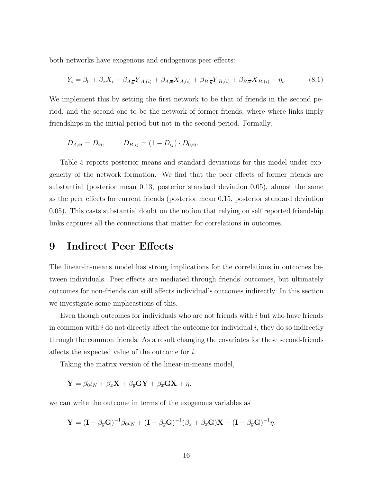both networks have exogenous and endogenous peer effects:

$$
Y_i = \beta_0 + \beta_x X_i + \beta_{A,\overline{y}} \overline{Y}_{A,(i)} + \beta_{A,\overline{x}} \overline{X}_{A,(i)} + \beta_{B,\overline{y}} \overline{Y}_{B,(i)} + \beta_{B,\overline{x}} \overline{X}_{B,(i)} + \eta_i.
$$
 (8.1)

We implement this by setting the first network to be that of friends in the second period, and the second one to be the network of former friends, where where links imply friendships in the initial period but not in the second period. Formally,

$$
D_{A,ij} = D_{ij}, \qquad D_{B,ij} = (1 - D_{ij}) \cdot D_{0,ij}.
$$

Table 5 reports posterior means and standard deviations for this model under exogeneity of the network formation. We find that the peer effects of former friends are substantial (posterior mean 0.13, posterior standard deviation 0.05), almost the same as the peer effects for current friends (posterior mean 0.15, posterior standard deviation 0.05). This casts substantial doubt on the notion that relying on self reported friendship links captures all the connections that matter for correlations in outcomes.

### 9 Indirect Peer Effects

The linear-in-means model has strong implications for the correlations in outcomes between individuals. Peer effects are mediated through friends' outcomes, but ultimately outcomes for non-friends can still affects individual's outcomes indirectly. In this section we investigate some implicastions of this.

Even though outcomes for individuals who are not friends with  $i$  but who have friends in common with  $i$  do not directly affect the outcome for individual  $i$ , they do so indirectly through the common friends. As a result changing the covariates for these second-friends affects the expected value of the outcome for i.

Taking the matrix version of the linear-in-means model,

$$
\mathbf{Y} = \beta_0 \iota_N + \beta_x \mathbf{X} + \beta_{\overline{y}} \mathbf{G} \mathbf{Y} + \beta_{\overline{x}} \mathbf{G} \mathbf{X} + \eta.
$$

we can write the outcome in terms of the exogenous variables as

$$
\mathbf{Y} = (\mathbf{I} - \beta_{\overline{y}} \mathbf{G})^{-1} \beta_0 \iota_N + (\mathbf{I} - \beta_{\overline{y}} \mathbf{G})^{-1} (\beta_x + \beta_{\overline{x}} \mathbf{G}) \mathbf{X} + (\mathbf{I} - \beta_{\overline{y}} \mathbf{G})^{-1} \eta.
$$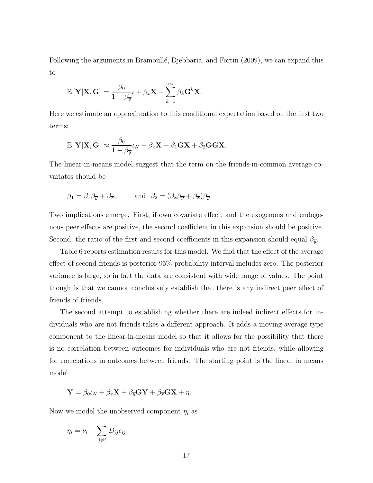Following the arguments in Bramoullé, Djebbaria, and Fortin (2009), we can expand this to

$$
\mathbb{E}\left[\mathbf{Y}|\mathbf{X},\mathbf{G}\right] = \frac{\beta_0}{1-\beta_{\overline{y}}} \iota + \beta_x \mathbf{X} + \sum_{k=1}^{\infty} \beta_k \mathbf{G}^k \mathbf{X}.
$$

Here we estimate an approximation to this conditional expectation based on the first two terms:

$$
\mathbb{E}[\mathbf{Y}|\mathbf{X},\mathbf{G}] \approx \frac{\beta_0}{1-\beta_{\overline{y}}} \iota_N + \beta_x \mathbf{X} + \beta_1 \mathbf{G} \mathbf{X} + \beta_2 \mathbf{G} \mathbf{G} \mathbf{X}.
$$

The linear-in-means model suggest that the term on the friends-in-common average covariates should be

$$
\beta_1 = \beta_x \beta_{\overline{y}} + \beta_{\overline{x}},
$$
 and  $\beta_2 = (\beta_x \beta_{\overline{y}} + \beta_{\overline{x}})\beta_{\overline{y}}.$ 

Two implications emerge. First, if own covariate effect, and the exogenous and endogenous peer effects are positive, the second coefficient in this expansion should be positive. Second, the ratio of the first and second coefficients in this expansion should equal  $\beta_{\overline{y}}$ .

Table 6 reports estimation results for this model. We find that the effect of the average effect of second-friends is posterior 95% probability interval includes zero. The posterior variance is large, so in fact the data are consistent with wide range of values. The point though is that we cannot conclusively establish that there is any indirect peer effect of friends of friends.

The second attempt to establishing whether there are indeed indirect effects for individuals who are not friends takes a different approach. It adds a moving-average type component to the linear-in-means model so that it allows for the possibility that there is no correlation between outcomes for individuals who are not friends, while allowing for correlations in outcomes between friends. The starting point is the linear in means model

$$
\mathbf{Y} = \beta_0 \iota_N + \beta_x \mathbf{X} + \beta_{\overline{y}} \mathbf{G} \mathbf{Y} + \beta_{\overline{x}} \mathbf{G} \mathbf{X} + \eta.
$$

Now we model the unobserved component  $\eta_i$  as

$$
\eta_i = \nu_i + \sum_{j \neq i} D_{ij} \epsilon_{ij},
$$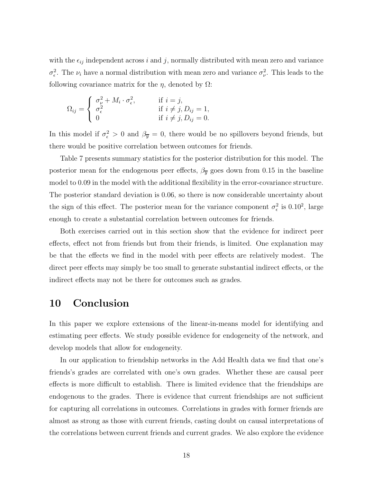with the  $\epsilon_{ij}$  independent across i and j, normally distributed with mean zero and variance  $\sigma_{\epsilon}^2$ . The  $\nu_i$  have a normal distribution with mean zero and variance  $\sigma_{\nu}^2$ . This leads to the following covariance matrix for the  $\eta$ , denoted by  $\Omega$ :

$$
\Omega_{ij} = \begin{cases}\n\sigma_{\nu}^2 + M_i \cdot \sigma_{\epsilon}^2, & \text{if } i = j, \\
\sigma_{\epsilon}^2 & \text{if } i \neq j, D_{ij} = 1, \\
0 & \text{if } i \neq j, D_{ij} = 0.\n\end{cases}
$$

In this model if  $\sigma_{\epsilon}^2 > 0$  and  $\beta_{\overline{y}} = 0$ , there would be no spillovers beyond friends, but there would be positive correlation between outcomes for friends.

Table 7 presents summary statistics for the posterior distribution for this model. The posterior mean for the endogenous peer effects,  $\beta_{\overline{y}}$  goes down from 0.15 in the baseline model to 0.09 in the model with the additional flexibility in the error-covariance structure. The posterior standard deviation is 0.06, so there is now considerable uncertainty about the sign of this effect. The posterior mean for the variance component  $\sigma_{\epsilon}^2$  is 0.10<sup>2</sup>, large enough to create a substantial correlation between outcomes for friends.

Both exercises carried out in this section show that the evidence for indirect peer effects, effect not from friends but from their friends, is limited. One explanation may be that the effects we find in the model with peer effects are relatively modest. The direct peer effects may simply be too small to generate substantial indirect effects, or the indirect effects may not be there for outcomes such as grades.

#### 10 Conclusion

In this paper we explore extensions of the linear-in-means model for identifying and estimating peer effects. We study possible evidence for endogeneity of the network, and develop models that allow for endogeneity.

In our application to friendship networks in the Add Health data we find that one's friends's grades are correlated with one's own grades. Whether these are causal peer effects is more difficult to establish. There is limited evidence that the friendships are endogenous to the grades. There is evidence that current friendships are not sufficient for capturing all correlations in outcomes. Correlations in grades with former friends are almost as strong as those with current friends, casting doubt on causal interpretations of the correlations between current friends and current grades. We also explore the evidence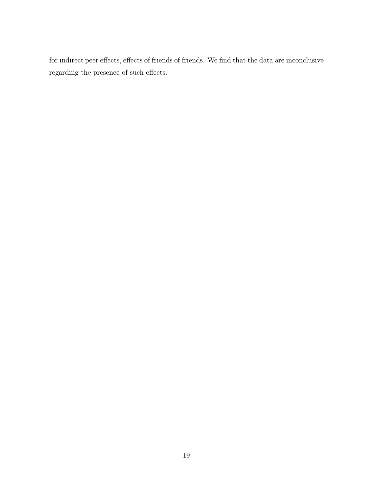for indirect peer effects, effects of friends of friends. We find that the data are inconclusive regarding the presence of such effects.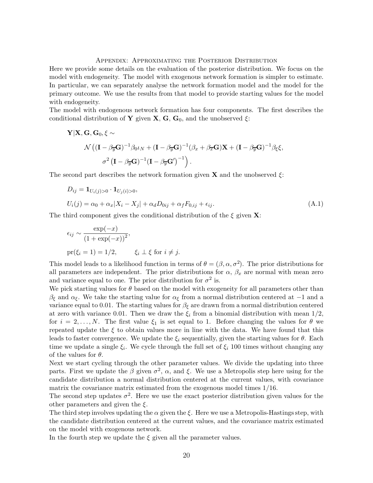Appendix: Approximating the Posterior Distribution

Here we provide some details on the evaluation of the posterior distribution. We focus on the model with endogeneity. The model with exogenous network formation is simpler to estimate. In particular, we can separately analyse the network formation model and the model for the primary outcome. We use the results from that model to provide starting values for the model with endogeneity.

The model with endogenous network formation has four components. The first describes the conditional distribution of Y given X, G,  $G_0$ , and the unobserved  $\xi$ :

$$
\mathbf{Y}|\mathbf{X},\mathbf{G},\mathbf{G}_0,\xi \sim
$$
  

$$
\mathcal{N}((\mathbf{I}-\beta_{\overline{y}}\mathbf{G})^{-1}\beta_0\iota_N+(\mathbf{I}-\beta_{\overline{y}}\mathbf{G})^{-1}(\beta_x+\beta_{\overline{x}}\mathbf{G})\mathbf{X}+(\mathbf{I}-\beta_{\overline{y}}\mathbf{G})^{-1}\beta_\xi\xi,
$$
  

$$
\sigma^2(\mathbf{I}-\beta_{\overline{y}}\mathbf{G})^{-1}(\mathbf{I}-\beta_{\overline{y}}\mathbf{G}')^{-1}.
$$

The second part describes the network formation given **X** and the unobserved  $\xi$ :

$$
D_{ij} = \mathbf{1}_{U_i(j) > 0} \cdot \mathbf{1}_{U_j(i) > 0},
$$
  
\n
$$
U_i(j) = \alpha_0 + \alpha_x |X_i - X_j| + \alpha_d D_{0ij} + \alpha_f F_{0,ij} + \epsilon_{ij}.
$$
\n(A.1)

The third component gives the conditional distribution of the  $\xi$  given **X**:

$$
\epsilon_{ij} \sim \frac{\exp(-x)}{(1 + \exp(-x))^2},
$$
  
pr( $\xi_i = 1$ ) = 1/2,  $\xi_i \perp \xi$  for  $i \neq j$ .

This model leads to a likelihood function in terms of  $\theta = (\beta, \alpha, \sigma^2)$ . The prior distributions for all parameters are independent. The prior distributions for  $\alpha$ ,  $\beta_x$  are normal with mean zero and variance equal to one. The prior distribution for  $\sigma^2$  is.

We pick starting values for  $\theta$  based on the model with exogeneity for all parameters other than β<sub>ξ</sub> and  $\alpha_{\xi}$ . We take the starting value for  $\alpha_{\xi}$  from a normal distribution centered at −1 and a variance equal to 0.01. The starting values for  $\beta_{\xi}$  are drawn from a normal distribution centered at zero with variance 0.01. Then we draw the  $\xi_i$  from a binomial distribution with mean  $1/2$ , for  $i = 2, \ldots, N$ . The first value  $\xi_1$  is set equal to 1. Before changing the values for  $\theta$  we repeated update the  $\xi$  to obtain values more in line with the data. We have found that this leads to faster convergence. We update the  $\xi_i$  sequentially, given the starting values for  $\theta$ . Each time we update a single  $\xi_i$ . We cycle through the full set of  $\xi_i$  100 times without changing any of the values for  $\theta$ .

Next we start cycling through the other parameter values. We divide the updating into three parts. First we update the  $\beta$  given  $\sigma^2$ ,  $\alpha$ , and  $\xi$ . We use a Metropolis step here using for the candidate distribution a normal distribution centered at the current values, with covariance matrix the covariance matrix estimated from the exogenous model times 1/16.

The second step updates  $\sigma^2$ . Here we use the exact posterior distribution given values for the other parameters and given the  $\xi$ .

The third step involves updating the  $\alpha$  given the  $\xi$ . Here we use a Metropolis-Hastings step, with the candidate distribution centered at the current values, and the covariance matrix estimated on the model with exogenous network.

In the fourth step we update the  $\xi$  given all the parameter values.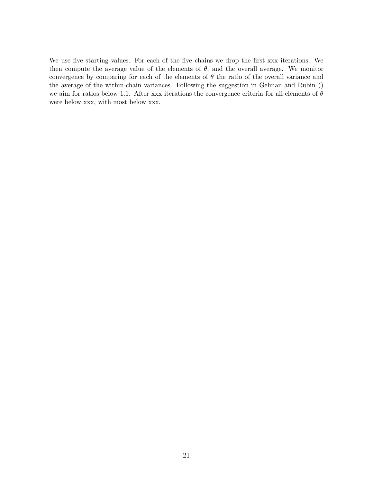We use five starting values. For each of the five chains we drop the first xxx iterations. We then compute the average value of the elements of  $\theta$ , and the overall average. We monitor convergence by comparing for each of the elements of  $\theta$  the ratio of the overall variance and the average of the within-chain variances. Following the suggestion in Gelman and Rubin () we aim for ratios below 1.1. After xxx iterations the convergence criteria for all elements of  $\theta$ were below xxx, with most below xxx.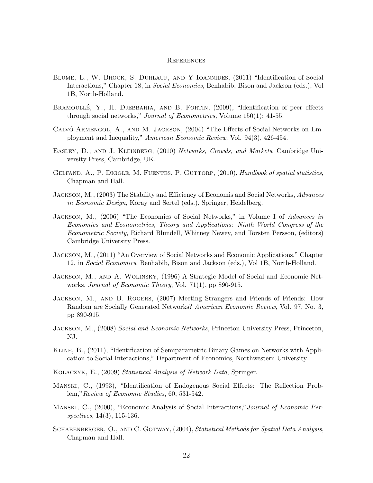#### **REFERENCES**

- BLUME, L., W. BROCK, S. DURLAUF, AND Y IOANNIDES, (2011) "Identification of Social Interactions," Chapter 18, in Social Economics, Benhabib, Bison and Jackson (eds.), Vol 1B, North-Holland.
- BRAMOULLÉ, Y., H. DJEBBARIA, AND B. FORTIN, (2009), "Identification of peer effects through social networks," *Journal of Econometrics*, Volume 150(1): 41-55.
- CALVÓ-ARMENGOL, A., AND M. JACKSON, (2004) "The Effects of Social Networks on Employment and Inequality," American Economic Review, Vol. 94(3), 426-454.
- EASLEY, D., AND J. KLEINBERG, (2010) Networks, Crowds, and Markets, Cambridge University Press, Cambridge, UK.
- GELFAND, A., P. DIGGLE, M. FUENTES, P. GUTTORP, (2010), Handbook of spatial statistics, Chapman and Hall.
- JACKSON, M.,  $(2003)$  The Stability and Efficiency of Economis and Social Networks, Advances in Economic Design, Koray and Sertel (eds.), Springer, Heidelberg.
- JACKSON, M., (2006) "The Economics of Social Networks," in Volume I of Advances in Economics and Econometrics, Theory and Applications: Ninth World Congress of the Econometric Society, Richard Blundell, Whitney Newey, and Torsten Persson, (editors) Cambridge University Press.
- Jackson, M., (2011) "An Overview of Social Networks and Economic Applications," Chapter 12, in Social Economics, Benhabib, Bison and Jackson (eds.), Vol 1B, North-Holland.
- Jackson, M., and A. Wolinsky, (1996) A Strategic Model of Social and Economic Networks, Journal of Economic Theory, Vol. 71(1), pp 890-915.
- JACKSON, M., AND B. ROGERS, (2007) Meeting Strangers and Friends of Friends: How Random are Socially Generated Networks? American Economic Review, Vol. 97, No. 3, pp 890-915.
- JACKSON, M., (2008) Social and Economic Networks, Princeton University Press, Princeton, NJ.
- Kline, B., (2011), "Identification of Semiparametric Binary Games on Networks with Application to Social Interactions," Department of Economics, Northwestern University
- Kolaczyk, E., (2009) Statistical Analysis of Network Data, Springer.
- Manski, C., (1993), "Identification of Endogenous Social Effects: The Reflection Problem,"Review of Economic Studies, 60, 531-542.
- Manski, C., (2000), "Economic Analysis of Social Interactions,"Journal of Economic Perspectives, 14(3), 115-136.
- SCHABENBERGER, O., AND C. GOTWAY, (2004), Statistical Methods for Spatial Data Analysis, Chapman and Hall.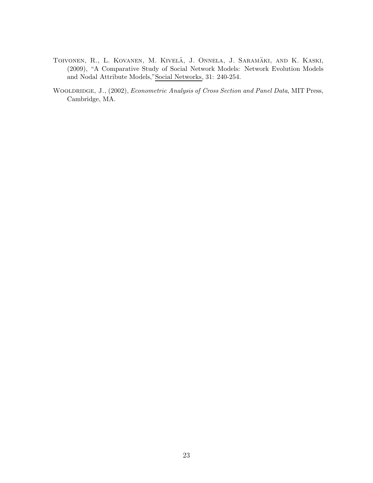- TOIVONEN, R., L. KOVANEN, M. KIVELÄ, J. ONNELA, J. SARAMÄKI, AND K. KASKI, (2009), "A Comparative Study of Social Network Models: Network Evolution Models and Nodal Attribute Models,"Social Networks, 31: 240-254.
- WOOLDRIDGE, J., (2002), Econometric Analysis of Cross Section and Panel Data, MIT Press, Cambridge, MA.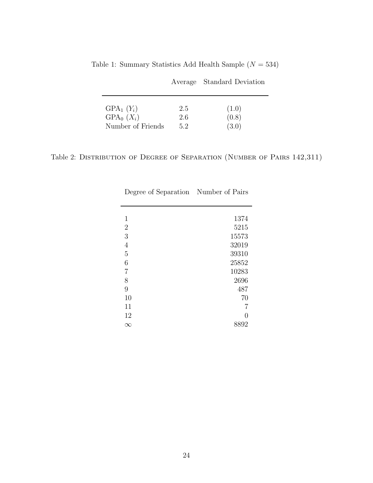|                              |            | Average Standard Deviation |
|------------------------------|------------|----------------------------|
| $GPA_1(Y_i)$<br>$GPA_0(X_i)$ | 2.5<br>2.6 | (1.0)<br>(0.8)             |
| Number of Friends            | 5.2        | (3.0)                      |

Table 1: Summary Statistics Add Health Sample  $(N = 534)$ 

Table 2: DISTRIBUTION OF DEGREE OF SEPARATION (NUMBER OF PAIRS 142,311)

| Degree of Separation Number of Pairs |       |
|--------------------------------------|-------|
|                                      |       |
|                                      |       |
| 1                                    | 1374  |
| $\overline{2}$                       | 5215  |
| 3                                    | 15573 |
| $\overline{4}$                       | 32019 |
| 5                                    | 39310 |
| 6                                    | 25852 |
| 7                                    | 10283 |
| 8                                    | 2696  |
| 9                                    | 487   |
| 10                                   | 70    |
| 11                                   |       |
| 12                                   |       |
| $\infty$                             | 8892  |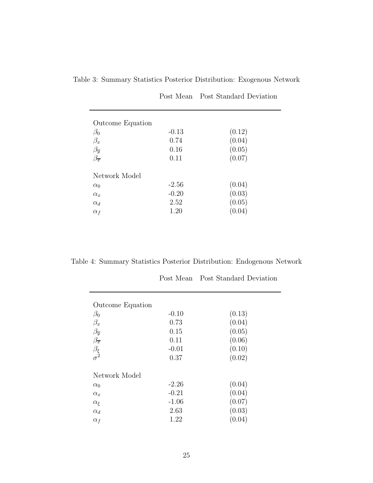| <b>Outcome Equation</b> |         |        |
|-------------------------|---------|--------|
| $\beta_0$               | $-0.13$ | (0.12) |
| $\beta_x$               | 0.74    | (0.04) |
| $\beta_{\overline{y}}$  | 0.16    | (0.05) |
| $\beta_{\overline{x}}$  | 0.11    | (0.07) |
| Network Model           |         |        |
| $\alpha_0$              | $-2.56$ | (0.04) |
| $\alpha_x$              | $-0.20$ | (0.03) |
| $\alpha_d$              | 2.52    | (0.05) |
| $\alpha_f$              | 1.20    | (0.04) |

Table 3: Summary Statistics Posterior Distribution: Exogenous Network

Post Mean Post Standard Deviation

Table 4: Summary Statistics Posterior Distribution: Endogenous Network

|                                                  |                 | Post Mean Post Standard Deviation |
|--------------------------------------------------|-----------------|-----------------------------------|
| Outcome Equation<br>$\beta_0$                    | $-0.10$         | (0.13)                            |
| $\beta_x$                                        | 0.73            | (0.04)                            |
| $\beta_{\overline{y}}$<br>$\beta_{\overline{x}}$ | 0.15<br>0.11    | (0.05)<br>(0.06)                  |
| $\frac{\beta_{\xi}}{\sigma^2}$                   | $-0.01$<br>0.37 | (0.10)<br>(0.02)                  |
| Network Model                                    |                 |                                   |
| $\alpha_0$                                       | $-2.26$         | (0.04)                            |
| $\alpha_x$                                       | $-0.21$         | (0.04)                            |
| $\alpha_{\xi}$                                   | $-1.06$         | (0.07)                            |
| $\alpha_d$                                       | 2.63            | (0.03)                            |
| $\alpha_f$                                       | 1.22            | (0.04)                            |